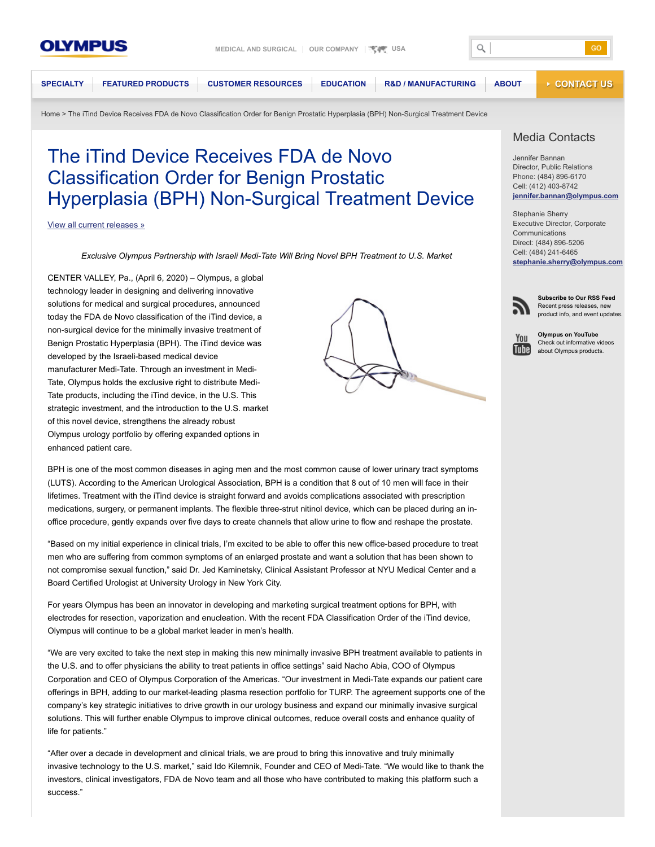

 $\alpha$ 

GO

**[SPECIALTY](https://medical.olympusamerica.com/specialties) [FEATURED PRODUCTS](https://medical.olympusamerica.com/products) [CUSTOMER RESOURCES](https://medical.olympusamerica.com/customer-resources) [EDUCATION](https://medical.olympusamerica.com/customer-resources/learning-opportunities) [R&D / MANUFACTURING](https://medical.olympusamerica.com/olympus-surgical-technologies-america) [ABOUT](https://medical.olympusamerica.com/about) [CONTACT US](https://medical.olympusamerica.com/content/contact-olympus-america)**

[Home](https://medical.olympusamerica.com/) > The iTind Device Receives FDA de Novo Classification Order for Benign Prostatic Hyperplasia (BPH) Non-Surgical Treatment Device

# The iTind Device Receives FDA de Novo Classification Order for Benign Prostatic Hyperplasia (BPH) Non-Surgical Treatment Device

#### [View all current releases »](https://medical.olympusamerica.com/about/press-center/press-releases)

*Exclusive Olympus Partnership with Israeli Medi-Tate Will Bring Novel BPH Treatment to U.S. Market*

CENTER VALLEY, Pa., (April 6, 2020) – Olympus, a global technology leader in designing and delivering innovative solutions for medical and surgical procedures, announced today the FDA de Novo classification of the iTind device, a non-surgical device for the minimally invasive treatment of Benign Prostatic Hyperplasia (BPH). The iTind device was developed by the Israeli-based medical device manufacturer Medi-Tate. Through an investment in Medi-Tate, Olympus holds the exclusive right to distribute Medi-Tate products, including the iTind device, in the U.S. This strategic investment, and the introduction to the U.S. market of this novel device, strengthens the already robust Olympus urology portfolio by offering expanded options in enhanced patient care.



## Media Contacts

Jennifer Bannan Director, Public Relations Phone: (484) 896-6170 Cell: (412) 403-8742 **[jennifer.bannan@olympus.com](mailto:jennifer.bannan@olympus.com)**

Stephanie Sherry Executive Director, Corporate Communications Direct: (484) 896-5206 Cell: (484) 241-6465 **[stephanie.sherry@olympus.com](mailto:stephanie.sherry@olympus.com)**



**Subscribe to Our RSS Feed** Recent press releases, new product info, and event updates.



**Olympus on YouTube** Check out informative videos about Olympus products.

BPH is one of the most common diseases in aging men and the most common cause of lower urinary tract symptoms (LUTS). According to the American Urological Association, BPH is a condition that 8 out of 10 men will face in their lifetimes. Treatment with the iTind device is straight forward and avoids complications associated with prescription medications, surgery, or permanent implants. The flexible three-strut nitinol device, which can be placed during an inoffice procedure, gently expands over five days to create channels that allow urine to flow and reshape the prostate.

"Based on my initial experience in clinical trials, I'm excited to be able to offer this new office-based procedure to treat men who are suffering from common symptoms of an enlarged prostate and want a solution that has been shown to not compromise sexual function," said Dr. Jed Kaminetsky, Clinical Assistant Professor at NYU Medical Center and a Board Certified Urologist at University Urology in New York City.

For years Olympus has been an innovator in developing and marketing surgical treatment options for BPH, with electrodes for resection, vaporization and enucleation. With the recent FDA Classification Order of the iTind device, Olympus will continue to be a global market leader in men's health.

"We are very excited to take the next step in making this new minimally invasive BPH treatment available to patients in the U.S. and to offer physicians the ability to treat patients in office settings" said Nacho Abia, COO of Olympus Corporation and CEO of Olympus Corporation of the Americas. "Our investment in Medi-Tate expands our patient care offerings in BPH, adding to our market-leading plasma resection portfolio for TURP. The agreement supports one of the company's key strategic initiatives to drive growth in our urology business and expand our minimally invasive surgical solutions. This will further enable Olympus to improve clinical outcomes, reduce overall costs and enhance quality of life for patients."

"After over a decade in development and clinical trials, we are proud to bring this innovative and truly minimally invasive technology to the U.S. market," said Ido Kilemnik, Founder and CEO of Medi-Tate. "We would like to thank the investors, clinical investigators, FDA de Novo team and all those who have contributed to making this platform such a success."